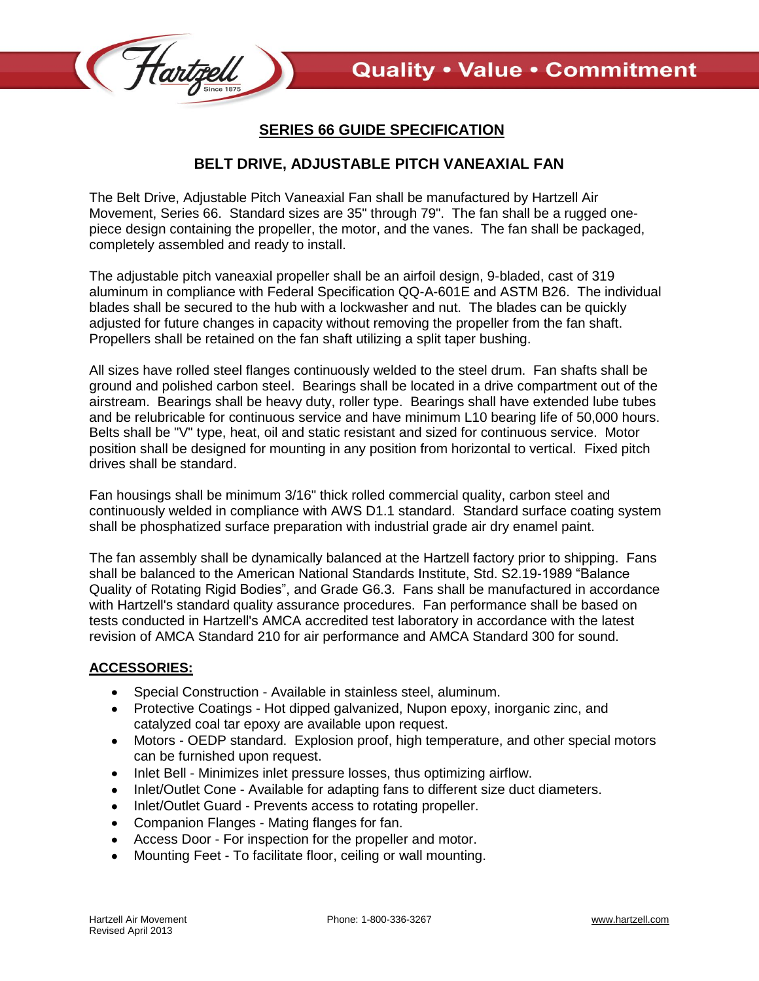

## **SERIES 66 GUIDE SPECIFICATION**

## **BELT DRIVE, ADJUSTABLE PITCH VANEAXIAL FAN**

The Belt Drive, Adjustable Pitch Vaneaxial Fan shall be manufactured by Hartzell Air Movement, Series 66. Standard sizes are 35" through 79". The fan shall be a rugged onepiece design containing the propeller, the motor, and the vanes. The fan shall be packaged, completely assembled and ready to install.

The adjustable pitch vaneaxial propeller shall be an airfoil design, 9-bladed, cast of 319 aluminum in compliance with Federal Specification QQ-A-601E and ASTM B26. The individual blades shall be secured to the hub with a lockwasher and nut. The blades can be quickly adjusted for future changes in capacity without removing the propeller from the fan shaft. Propellers shall be retained on the fan shaft utilizing a split taper bushing.

All sizes have rolled steel flanges continuously welded to the steel drum. Fan shafts shall be ground and polished carbon steel. Bearings shall be located in a drive compartment out of the airstream. Bearings shall be heavy duty, roller type. Bearings shall have extended lube tubes and be relubricable for continuous service and have minimum L10 bearing life of 50,000 hours. Belts shall be "V" type, heat, oil and static resistant and sized for continuous service. Motor position shall be designed for mounting in any position from horizontal to vertical. Fixed pitch drives shall be standard.

Fan housings shall be minimum 3/16" thick rolled commercial quality, carbon steel and continuously welded in compliance with AWS D1.1 standard. Standard surface coating system shall be phosphatized surface preparation with industrial grade air dry enamel paint.

The fan assembly shall be dynamically balanced at the Hartzell factory prior to shipping. Fans shall be balanced to the American National Standards Institute, Std. S2.19-1989 "Balance Quality of Rotating Rigid Bodies", and Grade G6.3. Fans shall be manufactured in accordance with Hartzell's standard quality assurance procedures. Fan performance shall be based on tests conducted in Hartzell's AMCA accredited test laboratory in accordance with the latest revision of AMCA Standard 210 for air performance and AMCA Standard 300 for sound.

## **ACCESSORIES:**

- Special Construction Available in stainless steel, aluminum.
- Protective Coatings Hot dipped galvanized, Nupon epoxy, inorganic zinc, and catalyzed coal tar epoxy are available upon request.
- Motors OEDP standard. Explosion proof, high temperature, and other special motors can be furnished upon request.
- Inlet Bell Minimizes inlet pressure losses, thus optimizing airflow.
- Inlet/Outlet Cone Available for adapting fans to different size duct diameters.
- Inlet/Outlet Guard Prevents access to rotating propeller.
- Companion Flanges Mating flanges for fan.
- Access Door For inspection for the propeller and motor.
- Mounting Feet To facilitate floor, ceiling or wall mounting.